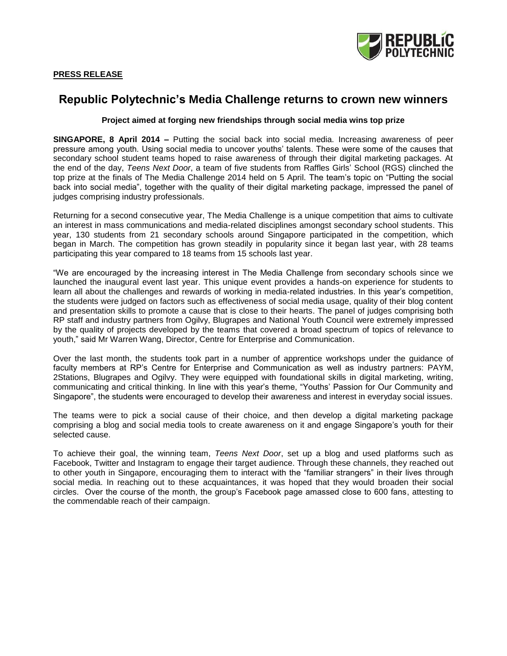

# **Republic Polytechnic's Media Challenge returns to crown new winners**

#### **Project aimed at forging new friendships through social media wins top prize**

**SINGAPORE, 8 April 2014 –** Putting the social back into social media. Increasing awareness of peer pressure among youth. Using social media to uncover youths' talents. These were some of the causes that secondary school student teams hoped to raise awareness of through their digital marketing packages. At the end of the day, *Teens Next Door*, a team of five students from Raffles Girls' School (RGS) clinched the top prize at the finals of The Media Challenge 2014 held on 5 April. The team's topic on "Putting the social back into social media", together with the quality of their digital marketing package, impressed the panel of judges comprising industry professionals.

Returning for a second consecutive year, The Media Challenge is a unique competition that aims to cultivate an interest in mass communications and media-related disciplines amongst secondary school students. This year, 130 students from 21 secondary schools around Singapore participated in the competition, which began in March. The competition has grown steadily in popularity since it began last year, with 28 teams participating this year compared to 18 teams from 15 schools last year.

"We are encouraged by the increasing interest in The Media Challenge from secondary schools since we launched the inaugural event last year. This unique event provides a hands-on experience for students to learn all about the challenges and rewards of working in media-related industries. In this year's competition, the students were judged on factors such as effectiveness of social media usage, quality of their blog content and presentation skills to promote a cause that is close to their hearts. The panel of judges comprising both RP staff and industry partners from Ogilvy, Blugrapes and National Youth Council were extremely impressed by the quality of projects developed by the teams that covered a broad spectrum of topics of relevance to youth," said Mr Warren Wang, Director, Centre for Enterprise and Communication.

Over the last month, the students took part in a number of apprentice workshops under the guidance of faculty members at RP's Centre for Enterprise and Communication as well as industry partners: PAYM, 2Stations, Blugrapes and Ogilvy. They were equipped with foundational skills in digital marketing, writing, communicating and critical thinking. In line with this year's theme, "Youths' Passion for Our Community and Singapore", the students were encouraged to develop their awareness and interest in everyday social issues.

The teams were to pick a social cause of their choice, and then develop a digital marketing package comprising a blog and social media tools to create awareness on it and engage Singapore's youth for their selected cause.

To achieve their goal, the winning team, *Teens Next Door*, set up a blog and used platforms such as Facebook, Twitter and Instagram to engage their target audience. Through these channels, they reached out to other youth in Singapore, encouraging them to interact with the "familiar strangers" in their lives through social media. In reaching out to these acquaintances, it was hoped that they would broaden their social circles. Over the course of the month, the group's Facebook page amassed close to 600 fans, attesting to the commendable reach of their campaign.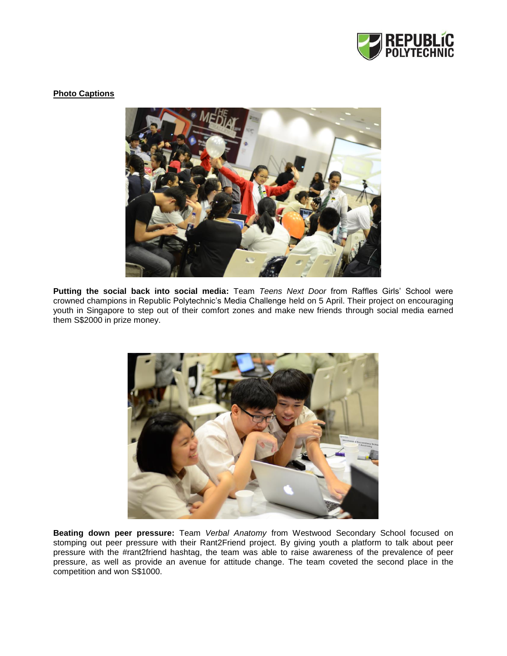

### **Photo Captions**



**Putting the social back into social media:** Team *Teens Next Door* from Raffles Girls' School were crowned champions in Republic Polytechnic's Media Challenge held on 5 April. Their project on encouraging youth in Singapore to step out of their comfort zones and make new friends through social media earned them S\$2000 in prize money.



**Beating down peer pressure:** Team *Verbal Anatomy* from Westwood Secondary School focused on stomping out peer pressure with their Rant2Friend project. By giving youth a platform to talk about peer pressure with the #rant2friend hashtag, the team was able to raise awareness of the prevalence of peer pressure, as well as provide an avenue for attitude change. The team coveted the second place in the competition and won S\$1000.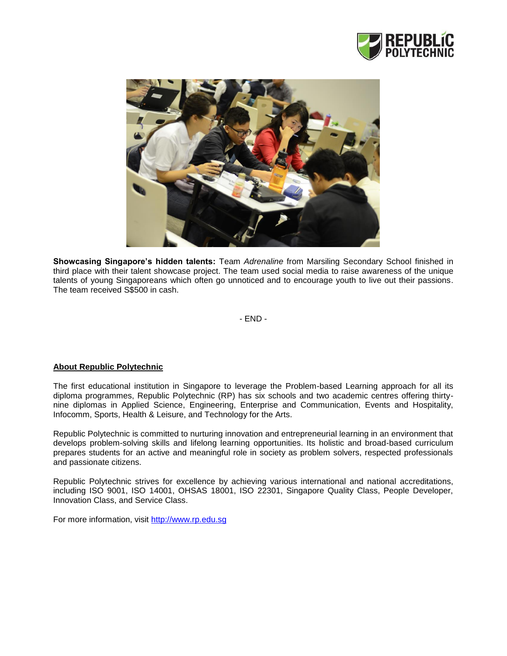



**Showcasing Singapore's hidden talents:** Team *Adrenaline* from Marsiling Secondary School finished in third place with their talent showcase project. The team used social media to raise awareness of the unique talents of young Singaporeans which often go unnoticed and to encourage youth to live out their passions. The team received S\$500 in cash.

- END -

## **About Republic Polytechnic**

The first educational institution in Singapore to leverage the Problem-based Learning approach for all its diploma programmes, Republic Polytechnic (RP) has six schools and two academic centres offering thirtynine diplomas in Applied Science, Engineering, Enterprise and Communication, Events and Hospitality, Infocomm, Sports, Health & Leisure, and Technology for the Arts.

Republic Polytechnic is committed to nurturing innovation and entrepreneurial learning in an environment that develops problem-solving skills and lifelong learning opportunities. Its holistic and broad-based curriculum prepares students for an active and meaningful role in society as problem solvers, respected professionals and passionate citizens.

Republic Polytechnic strives for excellence by achieving various international and national accreditations, including ISO 9001, ISO 14001, OHSAS 18001, ISO 22301, Singapore Quality Class, People Developer, Innovation Class, and Service Class.

For more information, visit [http://www.rp.edu.sg](http://www.rp.edu.sg/)